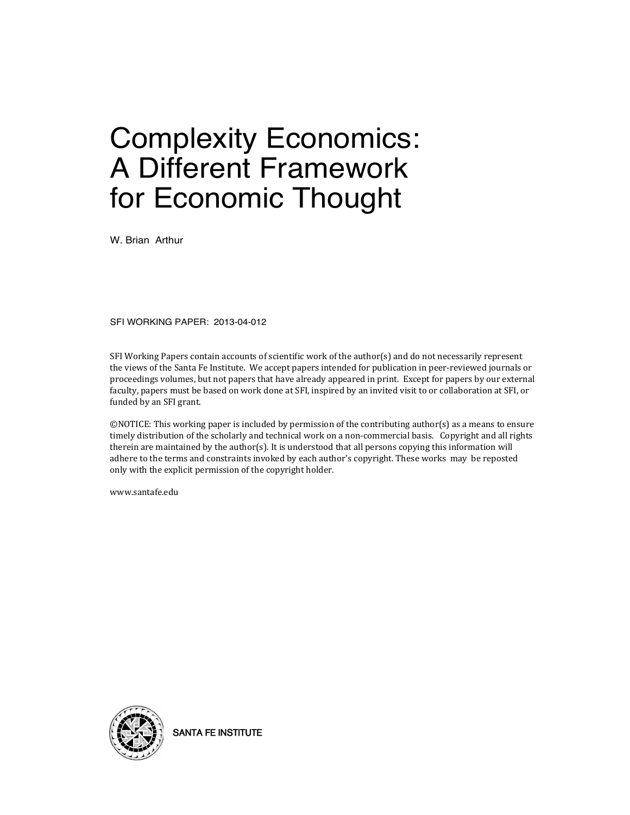# Complexity Economics: A Different Framework for Economic Thought

W. Brian Arthur

SFI WORKING PAPER: 2013-04-012

SFI Working Papers contain accounts of scientific work of the author(s) and do not necessarily represent the views of the Santa Fe Institute. We accept papers intended for publication in peer-reviewed journals or proceedings volumes, but not papers that have already appeared in print. Except for papers by our external faculty, papers must be based on work done at SFI, inspired by an invited visit to or collaboration at SFI, or funded by an SFI grant.

 $\mathbb{Q}$ NOTICE: This working paper is included by permission of the contributing author(s) as a means to ensure timely distribution of the scholarly and technical work on a non-commercial basis. Copyright and all rights therein are maintained by the author(s). It is understood that all persons copying this information will adhere to the terms and constraints invoked by each author's copyright. These works may be reposted only with the explicit permission of the copyright holder.

www.santafe.edu



SANTA FE INSTITUTE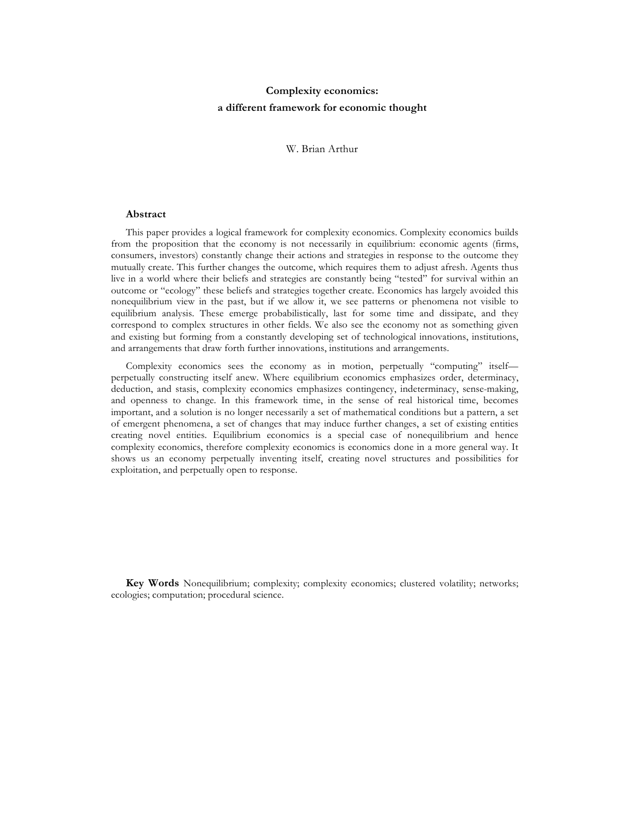## **Complexity economics: a different framework for economic thought**

W. Brian Arthur

#### **Abstract**

This paper provides a logical framework for complexity economics. Complexity economics builds from the proposition that the economy is not necessarily in equilibrium: economic agents (firms, consumers, investors) constantly change their actions and strategies in response to the outcome they mutually create. This further changes the outcome, which requires them to adjust afresh. Agents thus live in a world where their beliefs and strategies are constantly being "tested" for survival within an outcome or "ecology" these beliefs and strategies together create. Economics has largely avoided this nonequilibrium view in the past, but if we allow it, we see patterns or phenomena not visible to equilibrium analysis. These emerge probabilistically, last for some time and dissipate, and they correspond to complex structures in other fields. We also see the economy not as something given and existing but forming from a constantly developing set of technological innovations, institutions, and arrangements that draw forth further innovations, institutions and arrangements.

Complexity economics sees the economy as in motion, perpetually "computing" itself perpetually constructing itself anew. Where equilibrium economics emphasizes order, determinacy, deduction, and stasis, complexity economics emphasizes contingency, indeterminacy, sense-making, and openness to change. In this framework time, in the sense of real historical time, becomes important, and a solution is no longer necessarily a set of mathematical conditions but a pattern, a set of emergent phenomena, a set of changes that may induce further changes, a set of existing entities creating novel entities. Equilibrium economics is a special case of nonequilibrium and hence complexity economics, therefore complexity economics is economics done in a more general way. It shows us an economy perpetually inventing itself, creating novel structures and possibilities for exploitation, and perpetually open to response.

**Key Words** Nonequilibrium; complexity; complexity economics; clustered volatility; networks; ecologies; computation; procedural science.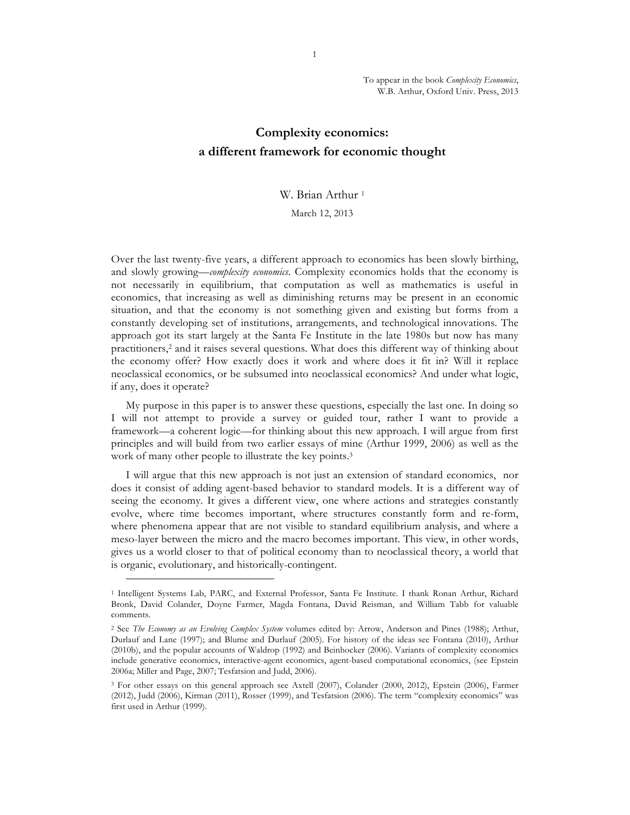## **Complexity economics: a different framework for economic thought**

## W. Brian Arthur <sup>1</sup>

March 12, 2013

Over the last twenty-five years, a different approach to economics has been slowly birthing, and slowly growing—*complexity economics*. Complexity economics holds that the economy is not necessarily in equilibrium, that computation as well as mathematics is useful in economics, that increasing as well as diminishing returns may be present in an economic situation, and that the economy is not something given and existing but forms from a constantly developing set of institutions, arrangements, and technological innovations. The approach got its start largely at the Santa Fe Institute in the late 1980s but now has many practitioners,<sup>2</sup> and it raises several questions. What does this different way of thinking about the economy offer? How exactly does it work and where does it fit in? Will it replace neoclassical economics, or be subsumed into neoclassical economics? And under what logic, if any, does it operate?

My purpose in this paper is to answer these questions, especially the last one. In doing so I will not attempt to provide a survey or guided tour, rather I want to provide a framework—a coherent logic—for thinking about this new approach. I will argue from first principles and will build from two earlier essays of mine (Arthur 1999, 2006) as well as the work of many other people to illustrate the key points.<sup>3</sup>

I will argue that this new approach is not just an extension of standard economics, nor does it consist of adding agent-based behavior to standard models. It is a different way of seeing the economy. It gives a different view, one where actions and strategies constantly evolve, where time becomes important, where structures constantly form and re-form, where phenomena appear that are not visible to standard equilibrium analysis, and where a meso-layer between the micro and the macro becomes important. This view, in other words, gives us a world closer to that of political economy than to neoclassical theory, a world that is organic, evolutionary, and historically-contingent.

<sup>1</sup> Intelligent Systems Lab, PARC, and External Professor, Santa Fe Institute. I thank Ronan Arthur, Richard Bronk, David Colander, Doyne Farmer, Magda Fontana, David Reisman, and William Tabb for valuable comments.

<sup>2</sup> See *The Economy as an Evolving Complex System* volumes edited by: Arrow, Anderson and Pines (1988); Arthur, Durlauf and Lane (1997); and Blume and Durlauf (2005). For history of the ideas see Fontana (2010), Arthur (2010b), and the popular accounts of Waldrop (1992) and Beinhocker (2006). Variants of complexity economics include generative economics, interactive-agent economics, agent-based computational economics, (see Epstein 2006a; Miller and Page, 2007; Tesfatsion and Judd, 2006).

<sup>3</sup> For other essays on this general approach see Axtell (2007), Colander (2000, 2012), Epstein (2006), Farmer (2012), Judd (2006), Kirman (2011), Rosser (1999), and Tesfatsion (2006). The term "complexity economics" was first used in Arthur (1999).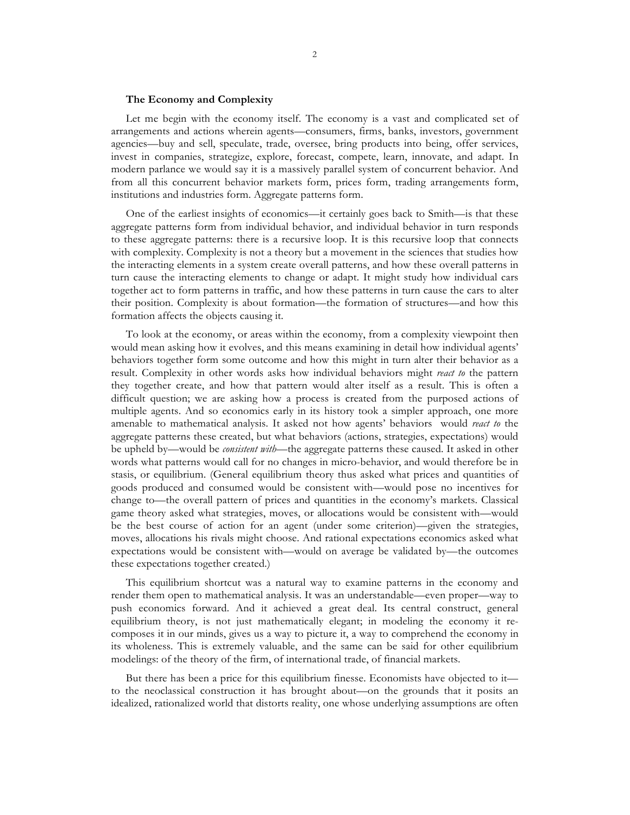## **The Economy and Complexity**

Let me begin with the economy itself. The economy is a vast and complicated set of arrangements and actions wherein agents—consumers, firms, banks, investors, government agencies—buy and sell, speculate, trade, oversee, bring products into being, offer services, invest in companies, strategize, explore, forecast, compete, learn, innovate, and adapt. In modern parlance we would say it is a massively parallel system of concurrent behavior. And from all this concurrent behavior markets form, prices form, trading arrangements form, institutions and industries form. Aggregate patterns form.

One of the earliest insights of economics—it certainly goes back to Smith—is that these aggregate patterns form from individual behavior, and individual behavior in turn responds to these aggregate patterns: there is a recursive loop. It is this recursive loop that connects with complexity. Complexity is not a theory but a movement in the sciences that studies how the interacting elements in a system create overall patterns, and how these overall patterns in turn cause the interacting elements to change or adapt. It might study how individual cars together act to form patterns in traffic, and how these patterns in turn cause the cars to alter their position. Complexity is about formation—the formation of structures—and how this formation affects the objects causing it.

To look at the economy, or areas within the economy, from a complexity viewpoint then would mean asking how it evolves, and this means examining in detail how individual agents' behaviors together form some outcome and how this might in turn alter their behavior as a result. Complexity in other words asks how individual behaviors might *react to* the pattern they together create, and how that pattern would alter itself as a result. This is often a difficult question; we are asking how a process is created from the purposed actions of multiple agents. And so economics early in its history took a simpler approach, one more amenable to mathematical analysis. It asked not how agents' behaviors would *react to* the aggregate patterns these created, but what behaviors (actions, strategies, expectations) would be upheld by—would be *consistent with*—the aggregate patterns these caused. It asked in other words what patterns would call for no changes in micro-behavior, and would therefore be in stasis, or equilibrium. (General equilibrium theory thus asked what prices and quantities of goods produced and consumed would be consistent with—would pose no incentives for change to—the overall pattern of prices and quantities in the economy's markets. Classical game theory asked what strategies, moves, or allocations would be consistent with—would be the best course of action for an agent (under some criterion)—given the strategies, moves, allocations his rivals might choose. And rational expectations economics asked what expectations would be consistent with—would on average be validated by—the outcomes these expectations together created.)

This equilibrium shortcut was a natural way to examine patterns in the economy and render them open to mathematical analysis. It was an understandable—even proper—way to push economics forward. And it achieved a great deal. Its central construct, general equilibrium theory, is not just mathematically elegant; in modeling the economy it recomposes it in our minds, gives us a way to picture it, a way to comprehend the economy in its wholeness. This is extremely valuable, and the same can be said for other equilibrium modelings: of the theory of the firm, of international trade, of financial markets.

But there has been a price for this equilibrium finesse. Economists have objected to it to the neoclassical construction it has brought about—on the grounds that it posits an idealized, rationalized world that distorts reality, one whose underlying assumptions are often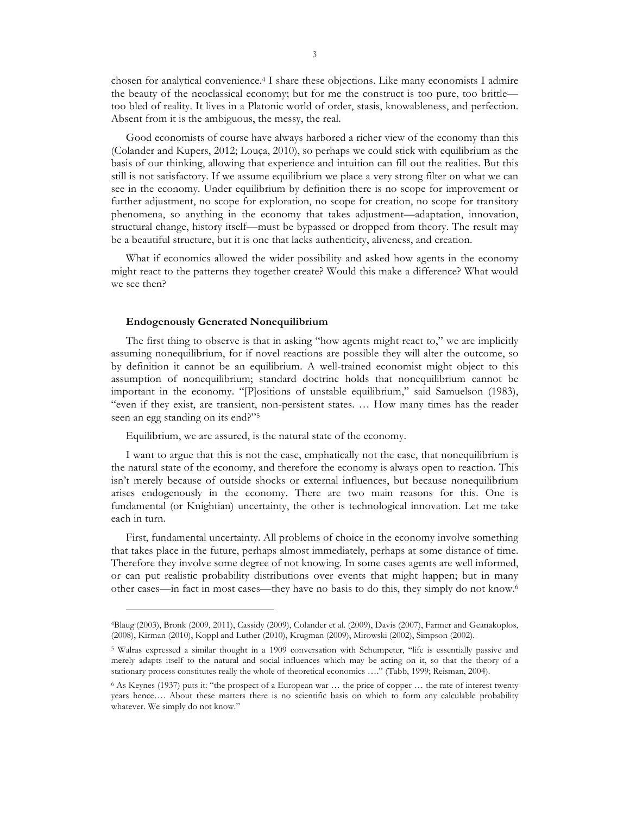chosen for analytical convenience. <sup>4</sup> I share these objections. Like many economists I admire the beauty of the neoclassical economy; but for me the construct is too pure, too brittle too bled of reality. It lives in a Platonic world of order, stasis, knowableness, and perfection. Absent from it is the ambiguous, the messy, the real.

Good economists of course have always harbored a richer view of the economy than this (Colander and Kupers, 2012; Louça, 2010), so perhaps we could stick with equilibrium as the basis of our thinking, allowing that experience and intuition can fill out the realities. But this still is not satisfactory. If we assume equilibrium we place a very strong filter on what we can see in the economy. Under equilibrium by definition there is no scope for improvement or further adjustment, no scope for exploration, no scope for creation, no scope for transitory phenomena, so anything in the economy that takes adjustment—adaptation, innovation, structural change, history itself—must be bypassed or dropped from theory. The result may be a beautiful structure, but it is one that lacks authenticity, aliveness, and creation.

What if economics allowed the wider possibility and asked how agents in the economy might react to the patterns they together create? Would this make a difference? What would we see then?

## **Endogenously Generated Nonequilibrium**

 $\overline{a}$ 

The first thing to observe is that in asking "how agents might react to," we are implicitly assuming nonequilibrium, for if novel reactions are possible they will alter the outcome, so by definition it cannot be an equilibrium. A well-trained economist might object to this assumption of nonequilibrium; standard doctrine holds that nonequilibrium cannot be important in the economy. "[P]ositions of unstable equilibrium," said Samuelson (1983), "even if they exist, are transient, non-persistent states. … How many times has the reader seen an egg standing on its end?"5

Equilibrium, we are assured, is the natural state of the economy.

I want to argue that this is not the case, emphatically not the case, that nonequilibrium is the natural state of the economy, and therefore the economy is always open to reaction. This isn't merely because of outside shocks or external influences, but because nonequilibrium arises endogenously in the economy. There are two main reasons for this. One is fundamental (or Knightian) uncertainty, the other is technological innovation. Let me take each in turn.

First, fundamental uncertainty. All problems of choice in the economy involve something that takes place in the future, perhaps almost immediately, perhaps at some distance of time. Therefore they involve some degree of not knowing. In some cases agents are well informed, or can put realistic probability distributions over events that might happen; but in many other cases—in fact in most cases—they have no basis to do this, they simply do not know.6

<sup>4</sup>Blaug (2003), Bronk (2009, 2011), Cassidy (2009), Colander et al. (2009), Davis (2007), Farmer and Geanakoplos, (2008), Kirman (2010), Koppl and Luther (2010), Krugman (2009), Mirowski (2002), Simpson (2002).

<sup>5</sup> Walras expressed a similar thought in a 1909 conversation with Schumpeter, "life is essentially passive and merely adapts itself to the natural and social influences which may be acting on it, so that the theory of a stationary process constitutes really the whole of theoretical economics …." (Tabb, 1999; Reisman, 2004).

<sup>6</sup> As Keynes (1937) puts it: "the prospect of a European war … the price of copper … the rate of interest twenty years hence…. About these matters there is no scientific basis on which to form any calculable probability whatever. We simply do not know*.*"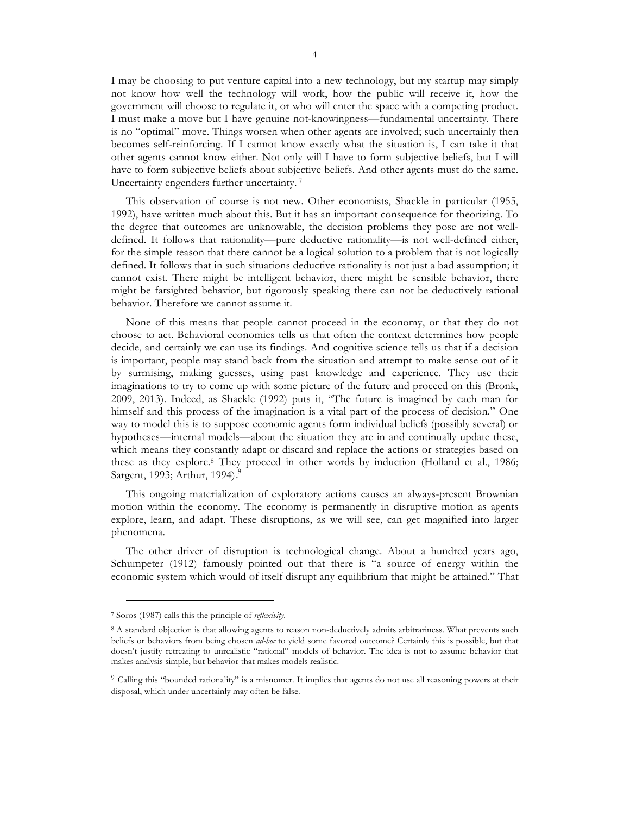I may be choosing to put venture capital into a new technology, but my startup may simply not know how well the technology will work, how the public will receive it, how the government will choose to regulate it, or who will enter the space with a competing product. I must make a move but I have genuine not-knowingness—fundamental uncertainty. There is no "optimal" move. Things worsen when other agents are involved; such uncertainly then becomes self-reinforcing. If I cannot know exactly what the situation is, I can take it that other agents cannot know either. Not only will I have to form subjective beliefs, but I will have to form subjective beliefs about subjective beliefs. And other agents must do the same. Uncertainty engenders further uncertainty. <sup>7</sup>

This observation of course is not new. Other economists, Shackle in particular (1955, 1992), have written much about this. But it has an important consequence for theorizing. To the degree that outcomes are unknowable, the decision problems they pose are not welldefined. It follows that rationality—pure deductive rationality—is not well-defined either, for the simple reason that there cannot be a logical solution to a problem that is not logically defined. It follows that in such situations deductive rationality is not just a bad assumption; it cannot exist. There might be intelligent behavior, there might be sensible behavior, there might be farsighted behavior, but rigorously speaking there can not be deductively rational behavior. Therefore we cannot assume it.

None of this means that people cannot proceed in the economy, or that they do not choose to act. Behavioral economics tells us that often the context determines how people decide, and certainly we can use its findings. And cognitive science tells us that if a decision is important, people may stand back from the situation and attempt to make sense out of it by surmising, making guesses, using past knowledge and experience. They use their imaginations to try to come up with some picture of the future and proceed on this (Bronk, 2009, 2013). Indeed, as Shackle (1992) puts it, "The future is imagined by each man for himself and this process of the imagination is a vital part of the process of decision." One way to model this is to suppose economic agents form individual beliefs (possibly several) or hypotheses—internal models—about the situation they are in and continually update these, which means they constantly adapt or discard and replace the actions or strategies based on these as they explore.8 They proceed in other words by induction (Holland et al., 1986; Sargent, 1993; Arthur, 1994).<sup>9</sup>

This ongoing materialization of exploratory actions causes an always-present Brownian motion within the economy. The economy is permanently in disruptive motion as agents explore, learn, and adapt. These disruptions, as we will see, can get magnified into larger phenomena.

The other driver of disruption is technological change. About a hundred years ago, Schumpeter (1912) famously pointed out that there is "a source of energy within the economic system which would of itself disrupt any equilibrium that might be attained." That

1

<sup>7</sup> Soros (1987) calls this the principle of *reflexivity*.

<sup>&</sup>lt;sup>8</sup> A standard objection is that allowing agents to reason non-deductively admits arbitrariness. What prevents such beliefs or behaviors from being chosen *ad-hoc* to yield some favored outcome? Certainly this is possible, but that doesn't justify retreating to unrealistic "rational" models of behavior. The idea is not to assume behavior that makes analysis simple, but behavior that makes models realistic.

<sup>9</sup> Calling this "bounded rationality" is a misnomer. It implies that agents do not use all reasoning powers at their disposal, which under uncertainly may often be false.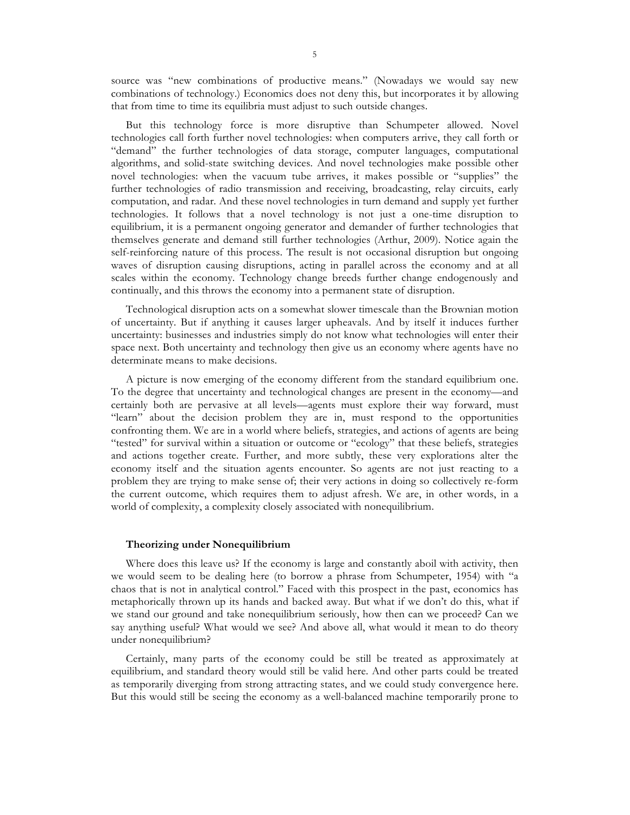source was "new combinations of productive means." (Nowadays we would say new combinations of technology.) Economics does not deny this, but incorporates it by allowing that from time to time its equilibria must adjust to such outside changes.

But this technology force is more disruptive than Schumpeter allowed. Novel technologies call forth further novel technologies: when computers arrive, they call forth or "demand" the further technologies of data storage, computer languages, computational algorithms, and solid-state switching devices. And novel technologies make possible other novel technologies: when the vacuum tube arrives, it makes possible or "supplies" the further technologies of radio transmission and receiving, broadcasting, relay circuits, early computation, and radar. And these novel technologies in turn demand and supply yet further technologies. It follows that a novel technology is not just a one-time disruption to equilibrium, it is a permanent ongoing generator and demander of further technologies that themselves generate and demand still further technologies (Arthur, 2009). Notice again the self-reinforcing nature of this process. The result is not occasional disruption but ongoing waves of disruption causing disruptions, acting in parallel across the economy and at all scales within the economy. Technology change breeds further change endogenously and continually, and this throws the economy into a permanent state of disruption.

Technological disruption acts on a somewhat slower timescale than the Brownian motion of uncertainty. But if anything it causes larger upheavals. And by itself it induces further uncertainty: businesses and industries simply do not know what technologies will enter their space next. Both uncertainty and technology then give us an economy where agents have no determinate means to make decisions.

A picture is now emerging of the economy different from the standard equilibrium one. To the degree that uncertainty and technological changes are present in the economy—and certainly both are pervasive at all levels—agents must explore their way forward, must "learn" about the decision problem they are in, must respond to the opportunities confronting them. We are in a world where beliefs, strategies, and actions of agents are being "tested" for survival within a situation or outcome or "ecology" that these beliefs, strategies and actions together create. Further, and more subtly, these very explorations alter the economy itself and the situation agents encounter. So agents are not just reacting to a problem they are trying to make sense of; their very actions in doing so collectively re-form the current outcome, which requires them to adjust afresh. We are, in other words, in a world of complexity, a complexity closely associated with nonequilibrium.

## **Theorizing under Nonequilibrium**

Where does this leave us? If the economy is large and constantly aboil with activity, then we would seem to be dealing here (to borrow a phrase from Schumpeter, 1954) with "a chaos that is not in analytical control." Faced with this prospect in the past, economics has metaphorically thrown up its hands and backed away. But what if we don't do this, what if we stand our ground and take nonequilibrium seriously, how then can we proceed? Can we say anything useful? What would we see? And above all, what would it mean to do theory under nonequilibrium?

Certainly, many parts of the economy could be still be treated as approximately at equilibrium, and standard theory would still be valid here. And other parts could be treated as temporarily diverging from strong attracting states, and we could study convergence here. But this would still be seeing the economy as a well-balanced machine temporarily prone to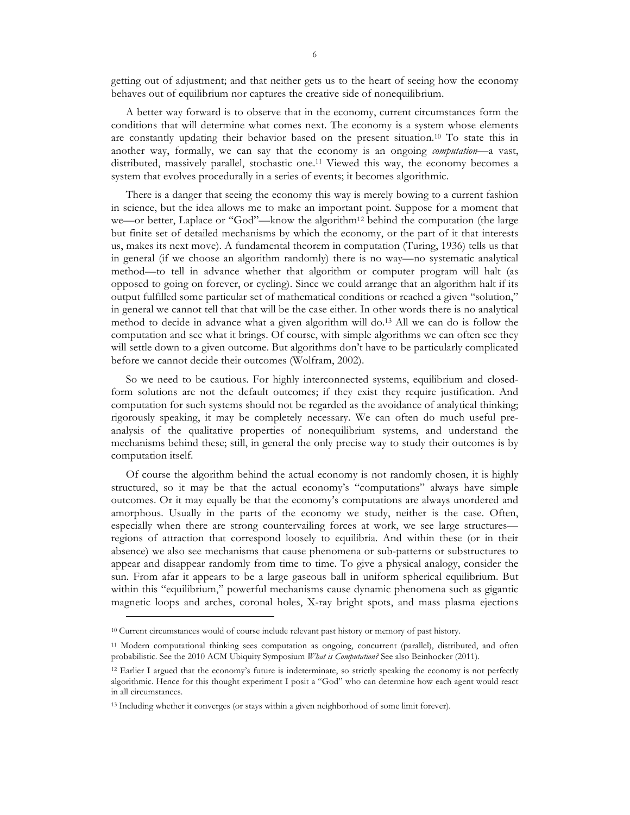getting out of adjustment; and that neither gets us to the heart of seeing how the economy behaves out of equilibrium nor captures the creative side of nonequilibrium.

A better way forward is to observe that in the economy, current circumstances form the conditions that will determine what comes next. The economy is a system whose elements are constantly updating their behavior based on the present situation.10 To state this in another way, formally, we can say that the economy is an ongoing *computation*—a vast, distributed, massively parallel, stochastic one.11 Viewed this way, the economy becomes a system that evolves procedurally in a series of events; it becomes algorithmic.

There is a danger that seeing the economy this way is merely bowing to a current fashion in science, but the idea allows me to make an important point. Suppose for a moment that we—or better, Laplace or "God"—know the algorithm<sup>12</sup> behind the computation (the large but finite set of detailed mechanisms by which the economy, or the part of it that interests us, makes its next move). A fundamental theorem in computation (Turing, 1936) tells us that in general (if we choose an algorithm randomly) there is no way—no systematic analytical method—to tell in advance whether that algorithm or computer program will halt (as opposed to going on forever, or cycling). Since we could arrange that an algorithm halt if its output fulfilled some particular set of mathematical conditions or reached a given "solution," in general we cannot tell that that will be the case either. In other words there is no analytical method to decide in advance what a given algorithm will do.13 All we can do is follow the computation and see what it brings. Of course, with simple algorithms we can often see they will settle down to a given outcome. But algorithms don't have to be particularly complicated before we cannot decide their outcomes (Wolfram, 2002).

So we need to be cautious. For highly interconnected systems, equilibrium and closedform solutions are not the default outcomes; if they exist they require justification. And computation for such systems should not be regarded as the avoidance of analytical thinking; rigorously speaking, it may be completely necessary. We can often do much useful preanalysis of the qualitative properties of nonequilibrium systems, and understand the mechanisms behind these; still, in general the only precise way to study their outcomes is by computation itself.

Of course the algorithm behind the actual economy is not randomly chosen, it is highly structured, so it may be that the actual economy's "computations" always have simple outcomes. Or it may equally be that the economy's computations are always unordered and amorphous. Usually in the parts of the economy we study, neither is the case. Often, especially when there are strong countervailing forces at work, we see large structures regions of attraction that correspond loosely to equilibria. And within these (or in their absence) we also see mechanisms that cause phenomena or sub-patterns or substructures to appear and disappear randomly from time to time. To give a physical analogy, consider the sun. From afar it appears to be a large gaseous ball in uniform spherical equilibrium. But within this "equilibrium," powerful mechanisms cause dynamic phenomena such as gigantic magnetic loops and arches, coronal holes, X-ray bright spots, and mass plasma ejections

<sup>10</sup> Current circumstances would of course include relevant past history or memory of past history.

<sup>11</sup> Modern computational thinking sees computation as ongoing, concurrent (parallel), distributed, and often probabilistic. See the 2010 ACM Ubiquity Symposium *What is Computation?* See also Beinhocker (2011).

<sup>12</sup> Earlier I argued that the economy's future is indeterminate, so strictly speaking the economy is not perfectly algorithmic. Hence for this thought experiment I posit a "God" who can determine how each agent would react in all circumstances.

<sup>13</sup> Including whether it converges (or stays within a given neighborhood of some limit forever).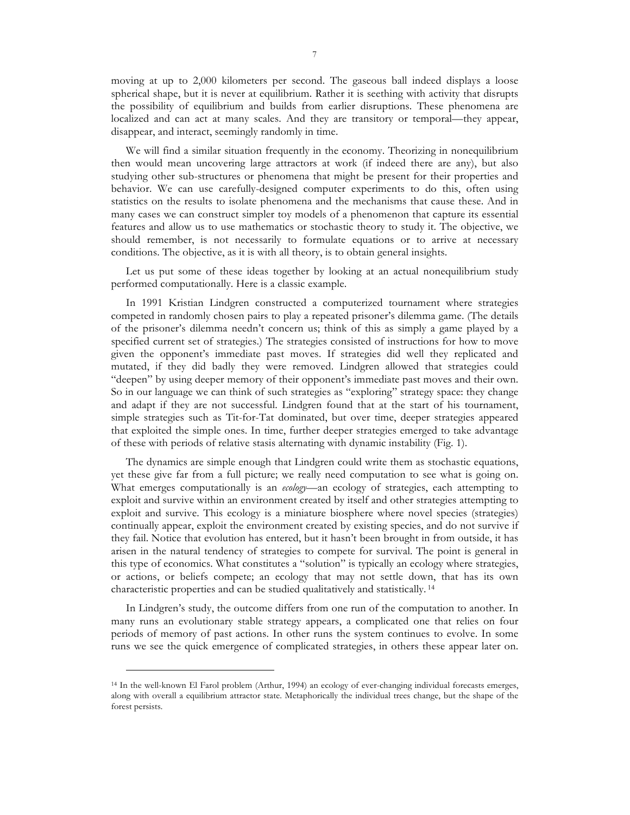moving at up to 2,000 kilometers per second. The gaseous ball indeed displays a loose spherical shape, but it is never at equilibrium. Rather it is seething with activity that disrupts the possibility of equilibrium and builds from earlier disruptions. These phenomena are localized and can act at many scales. And they are transitory or temporal—they appear, disappear, and interact, seemingly randomly in time.

We will find a similar situation frequently in the economy. Theorizing in nonequilibrium then would mean uncovering large attractors at work (if indeed there are any), but also studying other sub-structures or phenomena that might be present for their properties and behavior. We can use carefully-designed computer experiments to do this, often using statistics on the results to isolate phenomena and the mechanisms that cause these. And in many cases we can construct simpler toy models of a phenomenon that capture its essential features and allow us to use mathematics or stochastic theory to study it. The objective, we should remember, is not necessarily to formulate equations or to arrive at necessary conditions. The objective, as it is with all theory, is to obtain general insights.

Let us put some of these ideas together by looking at an actual nonequilibrium study performed computationally. Here is a classic example.

In 1991 Kristian Lindgren constructed a computerized tournament where strategies competed in randomly chosen pairs to play a repeated prisoner's dilemma game. (The details of the prisoner's dilemma needn't concern us; think of this as simply a game played by a specified current set of strategies.) The strategies consisted of instructions for how to move given the opponent's immediate past moves. If strategies did well they replicated and mutated, if they did badly they were removed. Lindgren allowed that strategies could "deepen" by using deeper memory of their opponent's immediate past moves and their own. So in our language we can think of such strategies as "exploring" strategy space: they change and adapt if they are not successful. Lindgren found that at the start of his tournament, simple strategies such as Tit-for-Tat dominated, but over time, deeper strategies appeared that exploited the simple ones. In time, further deeper strategies emerged to take advantage of these with periods of relative stasis alternating with dynamic instability (Fig. 1).

The dynamics are simple enough that Lindgren could write them as stochastic equations, yet these give far from a full picture; we really need computation to see what is going on. What emerges computationally is an *ecology*—an ecology of strategies, each attempting to exploit and survive within an environment created by itself and other strategies attempting to exploit and survive. This ecology is a miniature biosphere where novel species (strategies) continually appear, exploit the environment created by existing species, and do not survive if they fail. Notice that evolution has entered, but it hasn't been brought in from outside, it has arisen in the natural tendency of strategies to compete for survival. The point is general in this type of economics. What constitutes a "solution" is typically an ecology where strategies, or actions, or beliefs compete; an ecology that may not settle down, that has its own characteristic properties and can be studied qualitatively and statistically. <sup>14</sup>

In Lindgren's study, the outcome differs from one run of the computation to another. In many runs an evolutionary stable strategy appears, a complicated one that relies on four periods of memory of past actions. In other runs the system continues to evolve. In some runs we see the quick emergence of complicated strategies, in others these appear later on.

<sup>14</sup> In the well-known El Farol problem (Arthur, 1994) an ecology of ever-changing individual forecasts emerges, along with overall a equilibrium attractor state. Metaphorically the individual trees change, but the shape of the forest persists.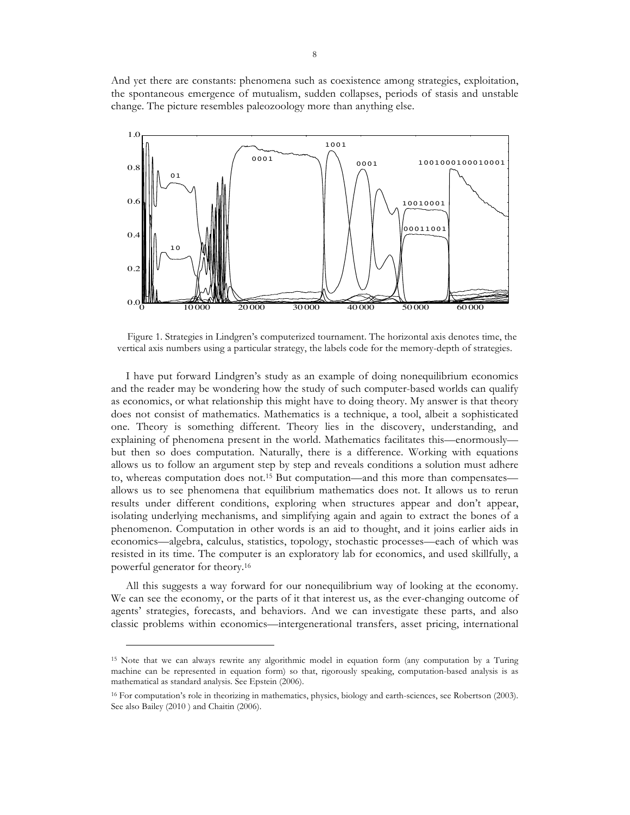And yet there are constants: phenomena such as coexistence among strategies, exploitation, the spontaneous emergence of mutualism, sudden collapses, periods of stasis and unstable change. The picture resembles paleozoology more than anything else.



Figure 1. Strategies in Lindgren's computerized tournament. The horizontal axis denotes time, the vertical axis numbers using a particular strategy, the labels code for the memory-depth of strategies.

I have put forward Lindgren's study as an example of doing nonequilibrium economics and the reader may be wondering how the study of such computer-based worlds can qualify as economics, or what relationship this might have to doing theory. My answer is that theory does not consist of mathematics. Mathematics is a technique, a tool, albeit a sophisticated one. Theory is something different. Theory lies in the discovery, understanding, and explaining of phenomena present in the world. Mathematics facilitates this—enormously but then so does computation. Naturally, there is a difference. Working with equations allows us to follow an argument step by step and reveals conditions a solution must adhere to, whereas computation does not.<sup>15</sup> But computation—and this more than compensates allows us to see phenomena that equilibrium mathematics does not. It allows us to rerun results under different conditions, exploring when structures appear and don't appear, isolating underlying mechanisms, and simplifying again and again to extract the bones of a phenomenon. Computation in other words is an aid to thought, and it joins earlier aids in economics—algebra, calculus, statistics, topology, stochastic processes—each of which was resisted in its time. The computer is an exploratory lab for economics, and used skillfully, a powerful generator for theory.16

All this suggests a way forward for our nonequilibrium way of looking at the economy. We can see the economy, or the parts of it that interest us, as the ever-changing outcome of agents' strategies, forecasts, and behaviors. And we can investigate these parts, and also classic problems within economics—intergenerational transfers, asset pricing, international

1

<sup>15</sup> Note that we can always rewrite any algorithmic model in equation form (any computation by a Turing machine can be represented in equation form) so that, rigorously speaking, computation-based analysis is as mathematical as standard analysis. See Epstein (2006).

<sup>16</sup> For computation's role in theorizing in mathematics, physics, biology and earth-sciences, see Robertson (2003). See also Bailey (2010 ) and Chaitin (2006).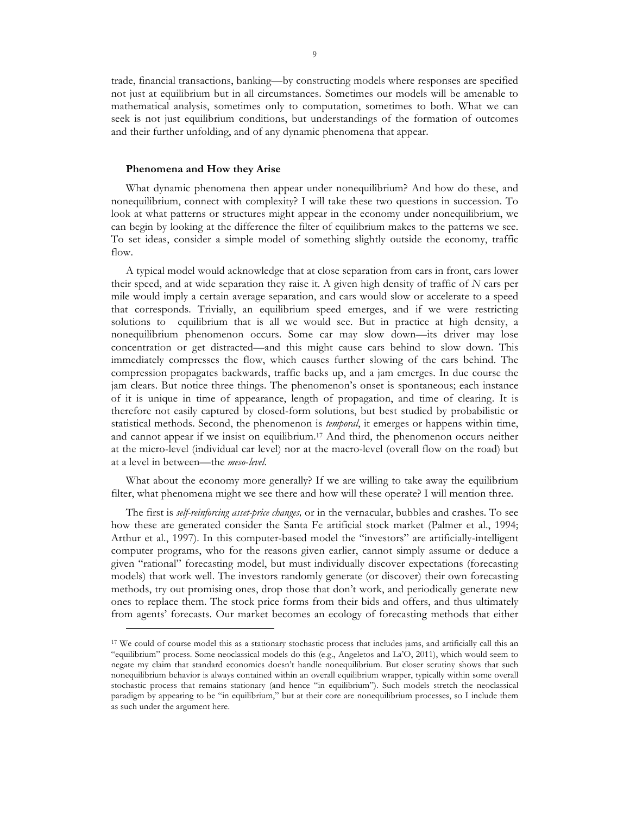trade, financial transactions, banking—by constructing models where responses are specified not just at equilibrium but in all circumstances. Sometimes our models will be amenable to mathematical analysis, sometimes only to computation, sometimes to both. What we can seek is not just equilibrium conditions, but understandings of the formation of outcomes and their further unfolding, and of any dynamic phenomena that appear.

### **Phenomena and How they Arise**

 $\overline{a}$ 

What dynamic phenomena then appear under nonequilibrium? And how do these, and nonequilibrium, connect with complexity? I will take these two questions in succession. To look at what patterns or structures might appear in the economy under nonequilibrium, we can begin by looking at the difference the filter of equilibrium makes to the patterns we see. To set ideas, consider a simple model of something slightly outside the economy, traffic flow.

A typical model would acknowledge that at close separation from cars in front, cars lower their speed, and at wide separation they raise it. A given high density of traffic of *N* cars per mile would imply a certain average separation, and cars would slow or accelerate to a speed that corresponds. Trivially, an equilibrium speed emerges, and if we were restricting solutions to equilibrium that is all we would see. But in practice at high density, a nonequilibrium phenomenon occurs. Some car may slow down—its driver may lose concentration or get distracted—and this might cause cars behind to slow down. This immediately compresses the flow, which causes further slowing of the cars behind. The compression propagates backwards, traffic backs up, and a jam emerges. In due course the jam clears. But notice three things. The phenomenon's onset is spontaneous; each instance of it is unique in time of appearance, length of propagation, and time of clearing. It is therefore not easily captured by closed-form solutions, but best studied by probabilistic or statistical methods. Second, the phenomenon is *temporal*, it emerges or happens within time, and cannot appear if we insist on equilibrium.17 And third, the phenomenon occurs neither at the micro-level (individual car level) nor at the macro-level (overall flow on the road) but at a level in between—the *meso*-*level*.

What about the economy more generally? If we are willing to take away the equilibrium filter, what phenomena might we see there and how will these operate? I will mention three.

The first is *self-reinforcing asset-price changes,* or in the vernacular, bubbles and crashes. To see how these are generated consider the Santa Fe artificial stock market (Palmer et al., 1994; Arthur et al., 1997). In this computer-based model the "investors" are artificially-intelligent computer programs, who for the reasons given earlier, cannot simply assume or deduce a given "rational" forecasting model, but must individually discover expectations (forecasting models) that work well. The investors randomly generate (or discover) their own forecasting methods, try out promising ones, drop those that don't work, and periodically generate new ones to replace them. The stock price forms from their bids and offers, and thus ultimately from agents' forecasts. Our market becomes an ecology of forecasting methods that either

<sup>17</sup> We could of course model this as a stationary stochastic process that includes jams, and artificially call this an "equilibrium" process. Some neoclassical models do this (e.g., Angeletos and La'O, 2011), which would seem to negate my claim that standard economics doesn't handle nonequilibrium. But closer scrutiny shows that such nonequilibrium behavior is always contained within an overall equilibrium wrapper, typically within some overall stochastic process that remains stationary (and hence "in equilibrium"). Such models stretch the neoclassical paradigm by appearing to be "in equilibrium," but at their core are nonequilibrium processes, so I include them as such under the argument here.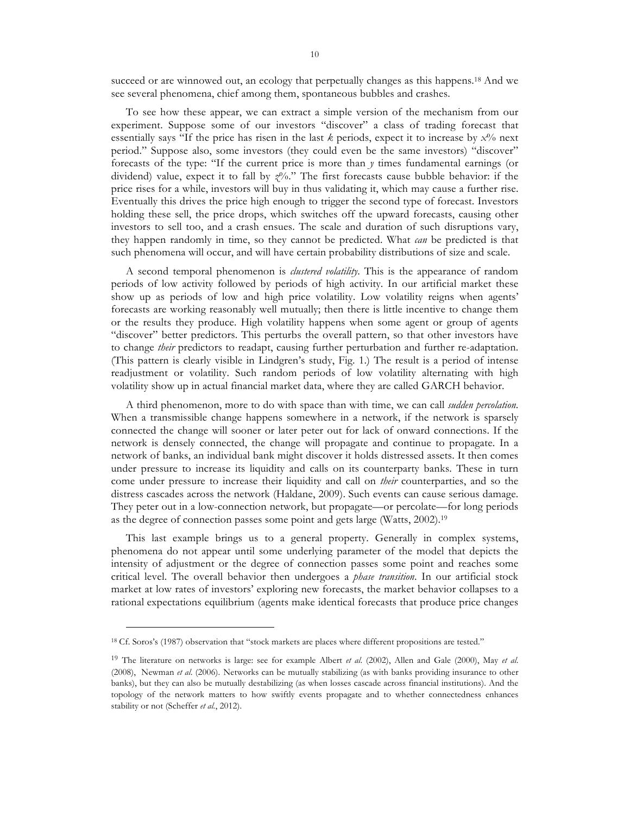succeed or are winnowed out, an ecology that perpetually changes as this happens.18 And we see several phenomena, chief among them, spontaneous bubbles and crashes.

To see how these appear, we can extract a simple version of the mechanism from our experiment. Suppose some of our investors "discover" a class of trading forecast that essentially says "If the price has risen in the last *k* periods, expect it to increase by *x*% next period." Suppose also, some investors (they could even be the same investors) "discover" forecasts of the type: "If the current price is more than *y* times fundamental earnings (or dividend) value, expect it to fall by *z*%." The first forecasts cause bubble behavior: if the price rises for a while, investors will buy in thus validating it, which may cause a further rise. Eventually this drives the price high enough to trigger the second type of forecast. Investors holding these sell, the price drops, which switches off the upward forecasts, causing other investors to sell too, and a crash ensues. The scale and duration of such disruptions vary, they happen randomly in time, so they cannot be predicted. What *can* be predicted is that such phenomena will occur, and will have certain probability distributions of size and scale.

A second temporal phenomenon is *clustered volatility*. This is the appearance of random periods of low activity followed by periods of high activity. In our artificial market these show up as periods of low and high price volatility. Low volatility reigns when agents' forecasts are working reasonably well mutually; then there is little incentive to change them or the results they produce. High volatility happens when some agent or group of agents "discover" better predictors. This perturbs the overall pattern, so that other investors have to change *their* predictors to readapt, causing further perturbation and further re-adaptation. (This pattern is clearly visible in Lindgren's study, Fig. 1.) The result is a period of intense readjustment or volatility. Such random periods of low volatility alternating with high volatility show up in actual financial market data, where they are called GARCH behavior.

A third phenomenon, more to do with space than with time, we can call *sudden percolation*. When a transmissible change happens somewhere in a network, if the network is sparsely connected the change will sooner or later peter out for lack of onward connections. If the network is densely connected, the change will propagate and continue to propagate. In a network of banks, an individual bank might discover it holds distressed assets. It then comes under pressure to increase its liquidity and calls on its counterparty banks. These in turn come under pressure to increase their liquidity and call on *their* counterparties, and so the distress cascades across the network (Haldane, 2009). Such events can cause serious damage. They peter out in a low-connection network, but propagate—or percolate—for long periods as the degree of connection passes some point and gets large (Watts, 2002).19

This last example brings us to a general property. Generally in complex systems, phenomena do not appear until some underlying parameter of the model that depicts the intensity of adjustment or the degree of connection passes some point and reaches some critical level. The overall behavior then undergoes a *phase transition*. In our artificial stock market at low rates of investors' exploring new forecasts, the market behavior collapses to a rational expectations equilibrium (agents make identical forecasts that produce price changes

<sup>18</sup> Cf. Soros's (1987) observation that "stock markets are places where different propositions are tested."

<sup>19</sup> The literature on networks is large: see for example Albert *et al*. (2002), Allen and Gale (2000), May *et al*. (2008), Newman *et al*. (2006). Networks can be mutually stabilizing (as with banks providing insurance to other banks), but they can also be mutually destabilizing (as when losses cascade across financial institutions). And the topology of the network matters to how swiftly events propagate and to whether connectedness enhances stability or not (Scheffer *et al.*, 2012).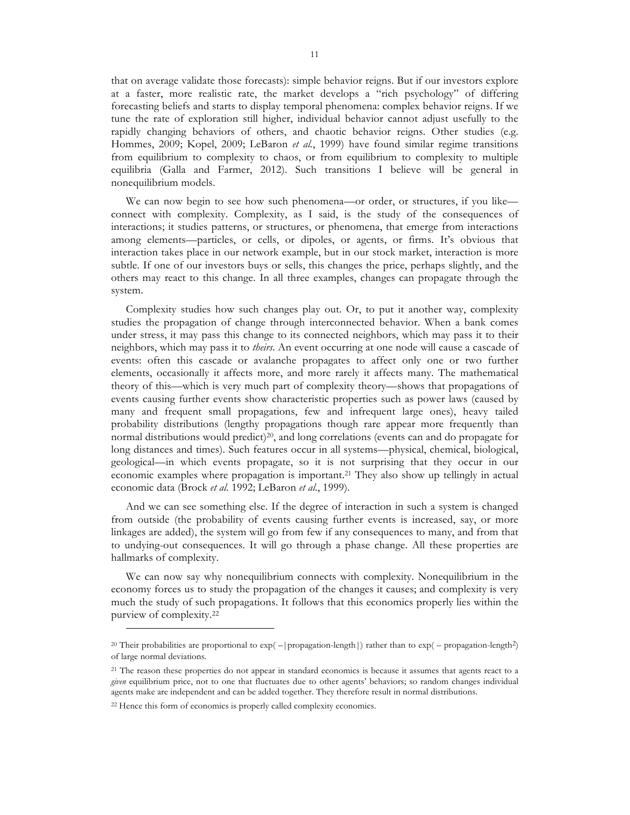that on average validate those forecasts): simple behavior reigns. But if our investors explore at a faster, more realistic rate, the market develops a "rich psychology" of differing forecasting beliefs and starts to display temporal phenomena: complex behavior reigns. If we tune the rate of exploration still higher, individual behavior cannot adjust usefully to the rapidly changing behaviors of others, and chaotic behavior reigns. Other studies (e.g. Hommes, 2009; Kopel, 2009; LeBaron *et al.*, 1999) have found similar regime transitions from equilibrium to complexity to chaos, or from equilibrium to complexity to multiple equilibria (Galla and Farmer, 2012). Such transitions I believe will be general in nonequilibrium models.

We can now begin to see how such phenomena—or order, or structures, if you like connect with complexity. Complexity, as I said, is the study of the consequences of interactions; it studies patterns, or structures, or phenomena, that emerge from interactions among elements—particles, or cells, or dipoles, or agents, or firms. It's obvious that interaction takes place in our network example, but in our stock market, interaction is more subtle. If one of our investors buys or sells, this changes the price, perhaps slightly, and the others may react to this change. In all three examples, changes can propagate through the system.

Complexity studies how such changes play out. Or, to put it another way, complexity studies the propagation of change through interconnected behavior. When a bank comes under stress, it may pass this change to its connected neighbors, which may pass it to their neighbors, which may pass it to *theirs*. An event occurring at one node will cause a cascade of events: often this cascade or avalanche propagates to affect only one or two further elements, occasionally it affects more, and more rarely it affects many. The mathematical theory of this—which is very much part of complexity theory—shows that propagations of events causing further events show characteristic properties such as power laws (caused by many and frequent small propagations, few and infrequent large ones), heavy tailed probability distributions (lengthy propagations though rare appear more frequently than normal distributions would predict)<sup>20</sup>, and long correlations (events can and do propagate for long distances and times). Such features occur in all systems—physical, chemical, biological, geological—in which events propagate, so it is not surprising that they occur in our economic examples where propagation is important.<sup>21</sup> They also show up tellingly in actual economic data (Brock *et al.* 1992; LeBaron *et al*., 1999).

And we can see something else. If the degree of interaction in such a system is changed from outside (the probability of events causing further events is increased, say, or more linkages are added), the system will go from few if any consequences to many, and from that to undying-out consequences. It will go through a phase change. All these properties are hallmarks of complexity.

We can now say why nonequilibrium connects with complexity. Nonequilibrium in the economy forces us to study the propagation of the changes it causes; and complexity is very much the study of such propagations. It follows that this economics properly lies within the purview of complexity.22

<sup>&</sup>lt;sup>20</sup> Their probabilities are proportional to  $\exp(-|\text{propagation-length}|)$  rather than to  $\exp(-\text{propagation-length}^2)$ of large normal deviations.

<sup>&</sup>lt;sup>21</sup> The reason these properties do not appear in standard economics is because it assumes that agents react to a *given* equilibrium price, not to one that fluctuates due to other agents' behaviors; so random changes individual agents make are independent and can be added together. They therefore result in normal distributions.

<sup>22</sup> Hence this form of economics is properly called complexity economics.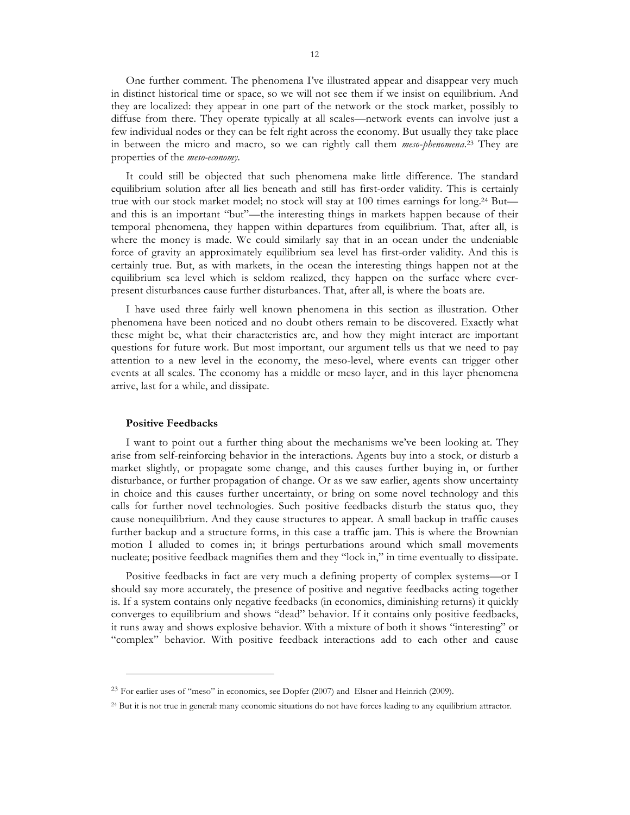One further comment. The phenomena I've illustrated appear and disappear very much in distinct historical time or space, so we will not see them if we insist on equilibrium. And they are localized: they appear in one part of the network or the stock market, possibly to diffuse from there. They operate typically at all scales—network events can involve just a few individual nodes or they can be felt right across the economy. But usually they take place in between the micro and macro, so we can rightly call them *meso*-*phenomena*.23 They are properties of the *meso-economy.* 

It could still be objected that such phenomena make little difference. The standard equilibrium solution after all lies beneath and still has first-order validity. This is certainly true with our stock market model; no stock will stay at 100 times earnings for long. <sup>24</sup> But and this is an important "but"—the interesting things in markets happen because of their temporal phenomena, they happen within departures from equilibrium. That, after all, is where the money is made. We could similarly say that in an ocean under the undeniable force of gravity an approximately equilibrium sea level has first-order validity. And this is certainly true. But, as with markets, in the ocean the interesting things happen not at the equilibrium sea level which is seldom realized, they happen on the surface where everpresent disturbances cause further disturbances. That, after all, is where the boats are.

I have used three fairly well known phenomena in this section as illustration. Other phenomena have been noticed and no doubt others remain to be discovered. Exactly what these might be, what their characteristics are, and how they might interact are important questions for future work. But most important, our argument tells us that we need to pay attention to a new level in the economy, the meso-level, where events can trigger other events at all scales. The economy has a middle or meso layer, and in this layer phenomena arrive, last for a while, and dissipate.

## **Positive Feedbacks**

 $\ddot{ }$ 

I want to point out a further thing about the mechanisms we've been looking at. They arise from self-reinforcing behavior in the interactions. Agents buy into a stock, or disturb a market slightly, or propagate some change, and this causes further buying in, or further disturbance, or further propagation of change. Or as we saw earlier, agents show uncertainty in choice and this causes further uncertainty, or bring on some novel technology and this calls for further novel technologies. Such positive feedbacks disturb the status quo, they cause nonequilibrium. And they cause structures to appear. A small backup in traffic causes further backup and a structure forms, in this case a traffic jam. This is where the Brownian motion I alluded to comes in; it brings perturbations around which small movements nucleate; positive feedback magnifies them and they "lock in," in time eventually to dissipate.

Positive feedbacks in fact are very much a defining property of complex systems—or I should say more accurately, the presence of positive and negative feedbacks acting together is. If a system contains only negative feedbacks (in economics, diminishing returns) it quickly converges to equilibrium and shows "dead" behavior. If it contains only positive feedbacks, it runs away and shows explosive behavior. With a mixture of both it shows "interesting" or "complex" behavior. With positive feedback interactions add to each other and cause

<sup>23</sup> For earlier uses of "meso" in economics, see Dopfer (2007) and Elsner and Heinrich (2009).

<sup>24</sup> But it is not true in general: many economic situations do not have forces leading to any equilibrium attractor.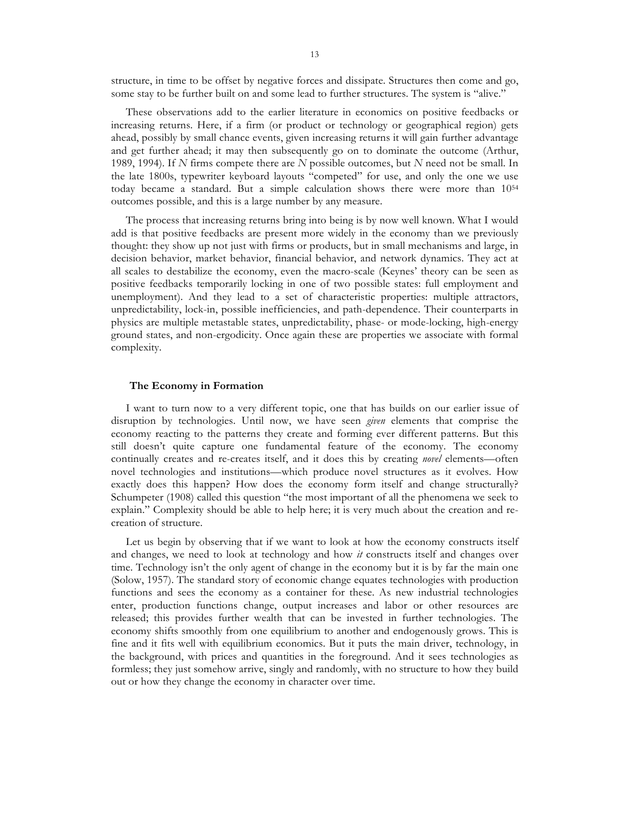structure, in time to be offset by negative forces and dissipate. Structures then come and go, some stay to be further built on and some lead to further structures. The system is "alive."

These observations add to the earlier literature in economics on positive feedbacks or increasing returns. Here, if a firm (or product or technology or geographical region) gets ahead, possibly by small chance events, given increasing returns it will gain further advantage and get further ahead; it may then subsequently go on to dominate the outcome (Arthur, 1989, 1994). If *N* firms compete there are *N* possible outcomes, but *N* need not be small. In the late 1800s, typewriter keyboard layouts "competed" for use, and only the one we use today became a standard. But a simple calculation shows there were more than 1054 outcomes possible, and this is a large number by any measure.

The process that increasing returns bring into being is by now well known. What I would add is that positive feedbacks are present more widely in the economy than we previously thought: they show up not just with firms or products, but in small mechanisms and large, in decision behavior, market behavior, financial behavior, and network dynamics. They act at all scales to destabilize the economy, even the macro-scale (Keynes' theory can be seen as positive feedbacks temporarily locking in one of two possible states: full employment and unemployment). And they lead to a set of characteristic properties: multiple attractors, unpredictability, lock-in, possible inefficiencies, and path-dependence. Their counterparts in physics are multiple metastable states, unpredictability, phase- or mode-locking, high-energy ground states, and non-ergodicity. Once again these are properties we associate with formal complexity.

## **The Economy in Formation**

I want to turn now to a very different topic, one that has builds on our earlier issue of disruption by technologies. Until now, we have seen *given* elements that comprise the economy reacting to the patterns they create and forming ever different patterns. But this still doesn't quite capture one fundamental feature of the economy. The economy continually creates and re-creates itself, and it does this by creating *novel* elements—often novel technologies and institutions—which produce novel structures as it evolves. How exactly does this happen? How does the economy form itself and change structurally? Schumpeter (1908) called this question "the most important of all the phenomena we seek to explain." Complexity should be able to help here; it is very much about the creation and recreation of structure.

Let us begin by observing that if we want to look at how the economy constructs itself and changes, we need to look at technology and how *it* constructs itself and changes over time. Technology isn't the only agent of change in the economy but it is by far the main one (Solow, 1957). The standard story of economic change equates technologies with production functions and sees the economy as a container for these. As new industrial technologies enter, production functions change, output increases and labor or other resources are released; this provides further wealth that can be invested in further technologies. The economy shifts smoothly from one equilibrium to another and endogenously grows. This is fine and it fits well with equilibrium economics. But it puts the main driver, technology, in the background, with prices and quantities in the foreground. And it sees technologies as formless; they just somehow arrive, singly and randomly, with no structure to how they build out or how they change the economy in character over time.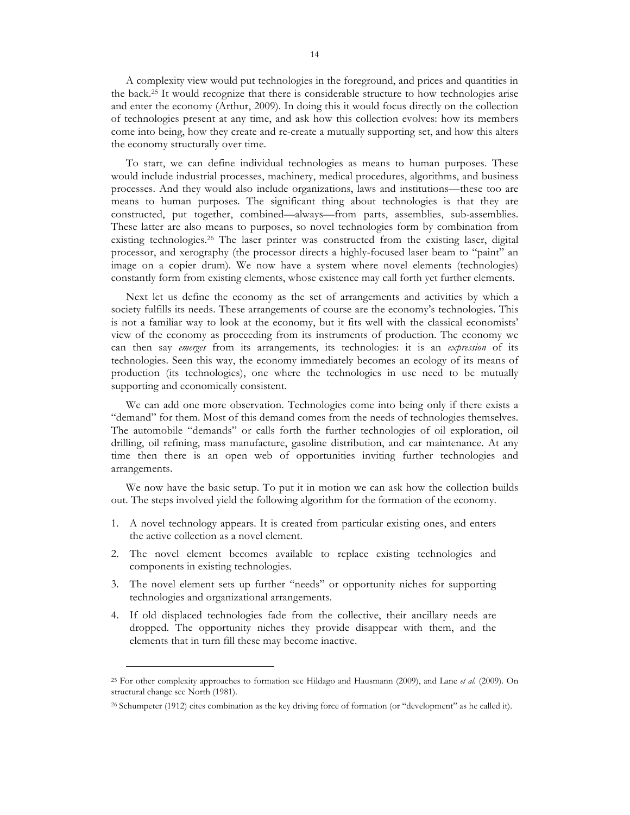A complexity view would put technologies in the foreground, and prices and quantities in the back.25 It would recognize that there is considerable structure to how technologies arise and enter the economy (Arthur, 2009). In doing this it would focus directly on the collection of technologies present at any time, and ask how this collection evolves: how its members come into being, how they create and re-create a mutually supporting set, and how this alters the economy structurally over time.

To start, we can define individual technologies as means to human purposes. These would include industrial processes, machinery, medical procedures, algorithms, and business processes. And they would also include organizations, laws and institutions—these too are means to human purposes. The significant thing about technologies is that they are constructed, put together, combined—always—from parts, assemblies, sub-assemblies. These latter are also means to purposes, so novel technologies form by combination from existing technologies.<sup>26</sup> The laser printer was constructed from the existing laser, digital processor, and xerography (the processor directs a highly-focused laser beam to "paint" an image on a copier drum). We now have a system where novel elements (technologies) constantly form from existing elements, whose existence may call forth yet further elements.

Next let us define the economy as the set of arrangements and activities by which a society fulfills its needs. These arrangements of course are the economy's technologies. This is not a familiar way to look at the economy, but it fits well with the classical economists' view of the economy as proceeding from its instruments of production. The economy we can then say *emerges* from its arrangements, its technologies: it is an *expression* of its technologies. Seen this way, the economy immediately becomes an ecology of its means of production (its technologies), one where the technologies in use need to be mutually supporting and economically consistent.

We can add one more observation. Technologies come into being only if there exists a "demand" for them. Most of this demand comes from the needs of technologies themselves. The automobile "demands" or calls forth the further technologies of oil exploration, oil drilling, oil refining, mass manufacture, gasoline distribution, and car maintenance. At any time then there is an open web of opportunities inviting further technologies and arrangements.

We now have the basic setup. To put it in motion we can ask how the collection builds out. The steps involved yield the following algorithm for the formation of the economy.

- 1. A novel technology appears. It is created from particular existing ones, and enters the active collection as a novel element.
- 2. The novel element becomes available to replace existing technologies and components in existing technologies.
- 3. The novel element sets up further "needs" or opportunity niches for supporting technologies and organizational arrangements.
- 4. If old displaced technologies fade from the collective, their ancillary needs are dropped. The opportunity niches they provide disappear with them, and the elements that in turn fill these may become inactive.

<sup>25</sup> For other complexity approaches to formation see Hildago and Hausmann (2009), and Lane *et al.* (2009). On structural change see North (1981).

<sup>26</sup> Schumpeter (1912) cites combination as the key driving force of formation (or "development" as he called it).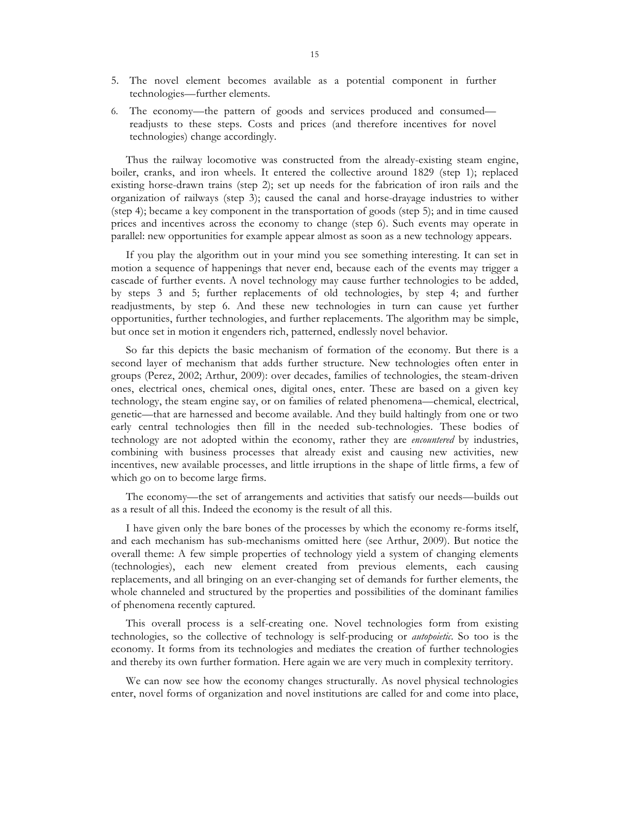- 5. The novel element becomes available as a potential component in further technologies—further elements.
- 6. The economy—the pattern of goods and services produced and consumed readjusts to these steps. Costs and prices (and therefore incentives for novel technologies) change accordingly.

Thus the railway locomotive was constructed from the already-existing steam engine, boiler, cranks, and iron wheels. It entered the collective around 1829 (step 1); replaced existing horse-drawn trains (step 2); set up needs for the fabrication of iron rails and the organization of railways (step 3); caused the canal and horse-drayage industries to wither (step 4); became a key component in the transportation of goods (step 5); and in time caused prices and incentives across the economy to change (step 6). Such events may operate in parallel: new opportunities for example appear almost as soon as a new technology appears.

If you play the algorithm out in your mind you see something interesting. It can set in motion a sequence of happenings that never end, because each of the events may trigger a cascade of further events. A novel technology may cause further technologies to be added, by steps 3 and 5; further replacements of old technologies, by step 4; and further readjustments, by step 6. And these new technologies in turn can cause yet further opportunities, further technologies, and further replacements. The algorithm may be simple, but once set in motion it engenders rich, patterned, endlessly novel behavior.

So far this depicts the basic mechanism of formation of the economy. But there is a second layer of mechanism that adds further structure. New technologies often enter in groups (Perez, 2002; Arthur, 2009): over decades, families of technologies, the steam-driven ones, electrical ones, chemical ones, digital ones, enter. These are based on a given key technology, the steam engine say, or on families of related phenomena—chemical, electrical, genetic—that are harnessed and become available. And they build haltingly from one or two early central technologies then fill in the needed sub-technologies. These bodies of technology are not adopted within the economy, rather they are *encountered* by industries, combining with business processes that already exist and causing new activities, new incentives, new available processes, and little irruptions in the shape of little firms, a few of which go on to become large firms.

The economy—the set of arrangements and activities that satisfy our needs—builds out as a result of all this. Indeed the economy is the result of all this.

I have given only the bare bones of the processes by which the economy re-forms itself, and each mechanism has sub-mechanisms omitted here (see Arthur, 2009). But notice the overall theme: A few simple properties of technology yield a system of changing elements (technologies), each new element created from previous elements, each causing replacements, and all bringing on an ever-changing set of demands for further elements, the whole channeled and structured by the properties and possibilities of the dominant families of phenomena recently captured.

This overall process is a self-creating one. Novel technologies form from existing technologies, so the collective of technology is self-producing or *autopoietic*. So too is the economy. It forms from its technologies and mediates the creation of further technologies and thereby its own further formation. Here again we are very much in complexity territory.

We can now see how the economy changes structurally. As novel physical technologies enter, novel forms of organization and novel institutions are called for and come into place,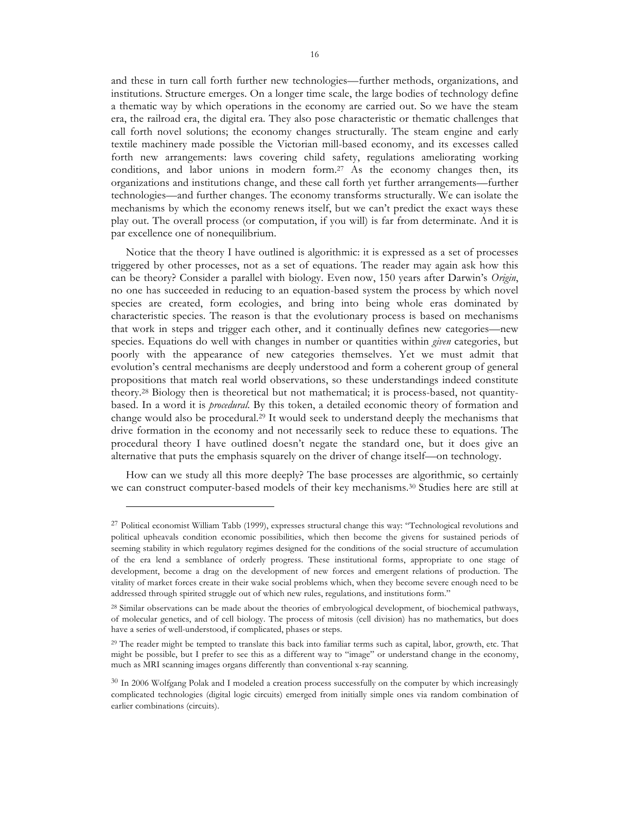and these in turn call forth further new technologies—further methods, organizations, and institutions. Structure emerges. On a longer time scale, the large bodies of technology define a thematic way by which operations in the economy are carried out. So we have the steam era, the railroad era, the digital era. They also pose characteristic or thematic challenges that call forth novel solutions; the economy changes structurally. The steam engine and early textile machinery made possible the Victorian mill-based economy, and its excesses called forth new arrangements: laws covering child safety, regulations ameliorating working conditions, and labor unions in modern form. <sup>27</sup> As the economy changes then, its organizations and institutions change, and these call forth yet further arrangements—further technologies—and further changes. The economy transforms structurally. We can isolate the mechanisms by which the economy renews itself, but we can't predict the exact ways these play out. The overall process (or computation, if you will) is far from determinate. And it is par excellence one of nonequilibrium.

Notice that the theory I have outlined is algorithmic: it is expressed as a set of processes triggered by other processes, not as a set of equations. The reader may again ask how this can be theory? Consider a parallel with biology. Even now, 150 years after Darwin's *Origin*, no one has succeeded in reducing to an equation-based system the process by which novel species are created, form ecologies, and bring into being whole eras dominated by characteristic species. The reason is that the evolutionary process is based on mechanisms that work in steps and trigger each other, and it continually defines new categories—new species. Equations do well with changes in number or quantities within *given* categories, but poorly with the appearance of new categories themselves. Yet we must admit that evolution's central mechanisms are deeply understood and form a coherent group of general propositions that match real world observations, so these understandings indeed constitute theory.28 Biology then is theoretical but not mathematical; it is process-based, not quantitybased. In a word it is *procedural*. By this token, a detailed economic theory of formation and change would also be procedural.29 It would seek to understand deeply the mechanisms that drive formation in the economy and not necessarily seek to reduce these to equations. The procedural theory I have outlined doesn't negate the standard one, but it does give an alternative that puts the emphasis squarely on the driver of change itself—on technology.

How can we study all this more deeply? The base processes are algorithmic, so certainly we can construct computer-based models of their key mechanisms.<sup>30</sup> Studies here are still at

<sup>27</sup> Political economist William Tabb (1999), expresses structural change this way: "Technological revolutions and political upheavals condition economic possibilities, which then become the givens for sustained periods of seeming stability in which regulatory regimes designed for the conditions of the social structure of accumulation of the era lend a semblance of orderly progress. These institutional forms, appropriate to one stage of development, become a drag on the development of new forces and emergent relations of production. The vitality of market forces create in their wake social problems which, when they become severe enough need to be addressed through spirited struggle out of which new rules, regulations, and institutions form."

<sup>28</sup> Similar observations can be made about the theories of embryological development, of biochemical pathways, of molecular genetics, and of cell biology. The process of mitosis (cell division) has no mathematics, but does have a series of well-understood, if complicated, phases or steps.

<sup>&</sup>lt;sup>29</sup> The reader might be tempted to translate this back into familiar terms such as capital, labor, growth, etc. That might be possible, but I prefer to see this as a different way to "image" or understand change in the economy, much as MRI scanning images organs differently than conventional x-ray scanning.

<sup>&</sup>lt;sup>30</sup> In 2006 Wolfgang Polak and I modeled a creation process successfully on the computer by which increasingly complicated technologies (digital logic circuits) emerged from initially simple ones via random combination of earlier combinations (circuits).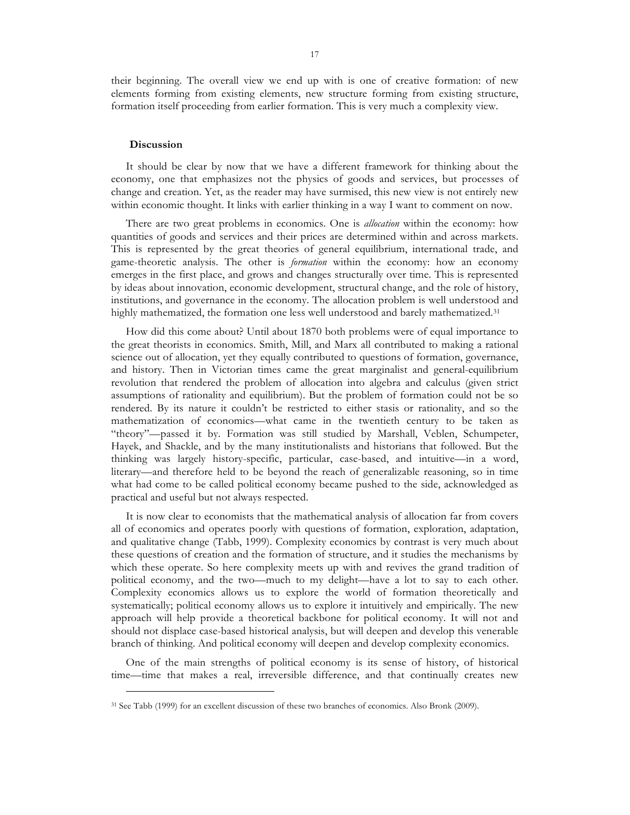their beginning. The overall view we end up with is one of creative formation: of new elements forming from existing elements, new structure forming from existing structure, formation itself proceeding from earlier formation. This is very much a complexity view.

## **Discussion**

1

It should be clear by now that we have a different framework for thinking about the economy, one that emphasizes not the physics of goods and services, but processes of change and creation. Yet, as the reader may have surmised, this new view is not entirely new within economic thought. It links with earlier thinking in a way I want to comment on now.

There are two great problems in economics. One is *allocation* within the economy: how quantities of goods and services and their prices are determined within and across markets. This is represented by the great theories of general equilibrium, international trade, and game-theoretic analysis. The other is *formation* within the economy: how an economy emerges in the first place, and grows and changes structurally over time. This is represented by ideas about innovation, economic development, structural change, and the role of history, institutions, and governance in the economy. The allocation problem is well understood and highly mathematized, the formation one less well understood and barely mathematized.<sup>31</sup>

How did this come about? Until about 1870 both problems were of equal importance to the great theorists in economics. Smith, Mill, and Marx all contributed to making a rational science out of allocation, yet they equally contributed to questions of formation, governance, and history. Then in Victorian times came the great marginalist and general-equilibrium revolution that rendered the problem of allocation into algebra and calculus (given strict assumptions of rationality and equilibrium). But the problem of formation could not be so rendered. By its nature it couldn't be restricted to either stasis or rationality, and so the mathematization of economics—what came in the twentieth century to be taken as "theory"—passed it by. Formation was still studied by Marshall, Veblen, Schumpeter, Hayek, and Shackle, and by the many institutionalists and historians that followed. But the thinking was largely history-specific, particular, case-based, and intuitive—in a word, literary—and therefore held to be beyond the reach of generalizable reasoning, so in time what had come to be called political economy became pushed to the side, acknowledged as practical and useful but not always respected.

It is now clear to economists that the mathematical analysis of allocation far from covers all of economics and operates poorly with questions of formation, exploration, adaptation, and qualitative change (Tabb, 1999). Complexity economics by contrast is very much about these questions of creation and the formation of structure, and it studies the mechanisms by which these operate. So here complexity meets up with and revives the grand tradition of political economy, and the two—much to my delight—have a lot to say to each other. Complexity economics allows us to explore the world of formation theoretically and systematically; political economy allows us to explore it intuitively and empirically. The new approach will help provide a theoretical backbone for political economy. It will not and should not displace case-based historical analysis, but will deepen and develop this venerable branch of thinking. And political economy will deepen and develop complexity economics.

One of the main strengths of political economy is its sense of history, of historical time—time that makes a real, irreversible difference, and that continually creates new

<sup>31</sup> See Tabb (1999) for an excellent discussion of these two branches of economics. Also Bronk (2009).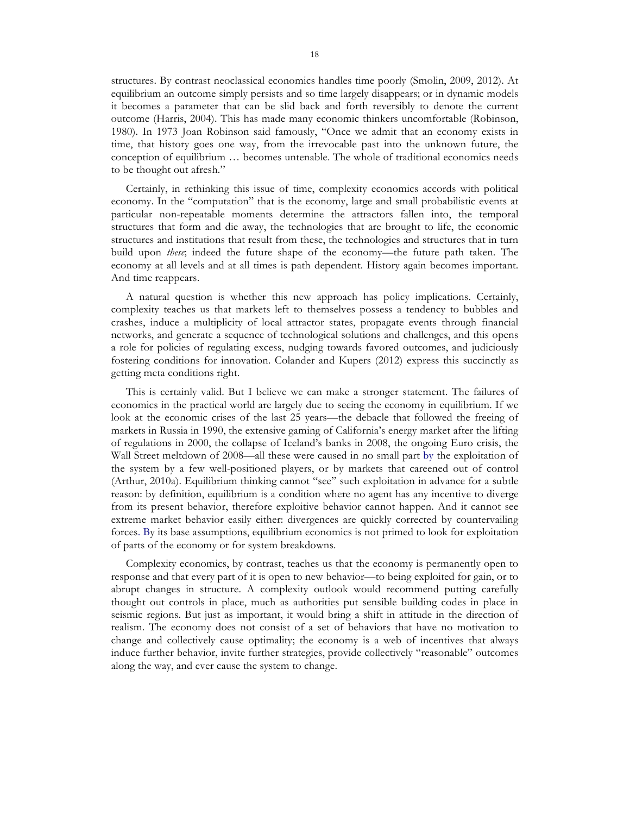structures. By contrast neoclassical economics handles time poorly (Smolin, 2009, 2012). At equilibrium an outcome simply persists and so time largely disappears; or in dynamic models it becomes a parameter that can be slid back and forth reversibly to denote the current outcome (Harris, 2004). This has made many economic thinkers uncomfortable (Robinson, 1980). In 1973 Joan Robinson said famously, "Once we admit that an economy exists in time, that history goes one way, from the irrevocable past into the unknown future, the conception of equilibrium … becomes untenable. The whole of traditional economics needs to be thought out afresh."

Certainly, in rethinking this issue of time, complexity economics accords with political economy. In the "computation" that is the economy, large and small probabilistic events at particular non-repeatable moments determine the attractors fallen into, the temporal structures that form and die away, the technologies that are brought to life, the economic structures and institutions that result from these, the technologies and structures that in turn build upon *these*; indeed the future shape of the economy—the future path taken. The economy at all levels and at all times is path dependent. History again becomes important. And time reappears.

A natural question is whether this new approach has policy implications. Certainly, complexity teaches us that markets left to themselves possess a tendency to bubbles and crashes, induce a multiplicity of local attractor states, propagate events through financial networks, and generate a sequence of technological solutions and challenges, and this opens a role for policies of regulating excess, nudging towards favored outcomes, and judiciously fostering conditions for innovation. Colander and Kupers (2012) express this succinctly as getting meta conditions right.

This is certainly valid. But I believe we can make a stronger statement. The failures of economics in the practical world are largely due to seeing the economy in equilibrium. If we look at the economic crises of the last 25 years—the debacle that followed the freeing of markets in Russia in 1990, the extensive gaming of California's energy market after the lifting of regulations in 2000, the collapse of Iceland's banks in 2008, the ongoing Euro crisis, the Wall Street meltdown of 2008—all these were caused in no small part by the exploitation of the system by a few well-positioned players, or by markets that careened out of control (Arthur, 2010a). Equilibrium thinking cannot "see" such exploitation in advance for a subtle reason: by definition, equilibrium is a condition where no agent has any incentive to diverge from its present behavior, therefore exploitive behavior cannot happen. And it cannot see extreme market behavior easily either: divergences are quickly corrected by countervailing forces. By its base assumptions, equilibrium economics is not primed to look for exploitation of parts of the economy or for system breakdowns.

Complexity economics, by contrast, teaches us that the economy is permanently open to response and that every part of it is open to new behavior—to being exploited for gain, or to abrupt changes in structure. A complexity outlook would recommend putting carefully thought out controls in place, much as authorities put sensible building codes in place in seismic regions. But just as important, it would bring a shift in attitude in the direction of realism. The economy does not consist of a set of behaviors that have no motivation to change and collectively cause optimality; the economy is a web of incentives that always induce further behavior, invite further strategies, provide collectively "reasonable" outcomes along the way, and ever cause the system to change.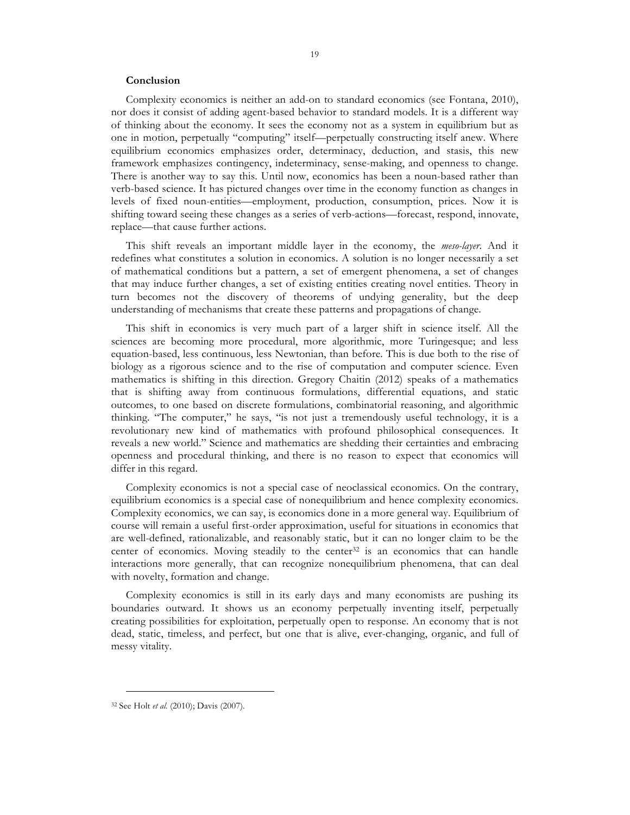## **Conclusion**

Complexity economics is neither an add-on to standard economics (see Fontana, 2010), nor does it consist of adding agent-based behavior to standard models. It is a different way of thinking about the economy. It sees the economy not as a system in equilibrium but as one in motion, perpetually "computing" itself—perpetually constructing itself anew. Where equilibrium economics emphasizes order, determinacy, deduction, and stasis, this new framework emphasizes contingency, indeterminacy, sense-making, and openness to change. There is another way to say this. Until now, economics has been a noun-based rather than verb-based science. It has pictured changes over time in the economy function as changes in levels of fixed noun-entities—employment, production, consumption, prices. Now it is shifting toward seeing these changes as a series of verb-actions—forecast, respond, innovate, replace—that cause further actions.

This shift reveals an important middle layer in the economy, the *meso-layer*. And it redefines what constitutes a solution in economics. A solution is no longer necessarily a set of mathematical conditions but a pattern, a set of emergent phenomena, a set of changes that may induce further changes, a set of existing entities creating novel entities. Theory in turn becomes not the discovery of theorems of undying generality, but the deep understanding of mechanisms that create these patterns and propagations of change.

This shift in economics is very much part of a larger shift in science itself. All the sciences are becoming more procedural, more algorithmic, more Turingesque; and less equation-based, less continuous, less Newtonian, than before. This is due both to the rise of biology as a rigorous science and to the rise of computation and computer science. Even mathematics is shifting in this direction. Gregory Chaitin (2012) speaks of a mathematics that is shifting away from continuous formulations, differential equations, and static outcomes, to one based on discrete formulations, combinatorial reasoning, and algorithmic thinking. "The computer," he says, "is not just a tremendously useful technology, it is a revolutionary new kind of mathematics with profound philosophical consequences. It reveals a new world." Science and mathematics are shedding their certainties and embracing openness and procedural thinking, and there is no reason to expect that economics will differ in this regard.

Complexity economics is not a special case of neoclassical economics. On the contrary, equilibrium economics is a special case of nonequilibrium and hence complexity economics. Complexity economics, we can say, is economics done in a more general way. Equilibrium of course will remain a useful first-order approximation, useful for situations in economics that are well-defined, rationalizable, and reasonably static, but it can no longer claim to be the center of economics. Moving steadily to the center<sup>32</sup> is an economics that can handle interactions more generally, that can recognize nonequilibrium phenomena, that can deal with novelty, formation and change.

Complexity economics is still in its early days and many economists are pushing its boundaries outward. It shows us an economy perpetually inventing itself, perpetually creating possibilities for exploitation, perpetually open to response. An economy that is not dead, static, timeless, and perfect, but one that is alive, ever-changing, organic, and full of messy vitality.

1

<sup>32</sup> See Holt *et al.* (2010); Davis (2007).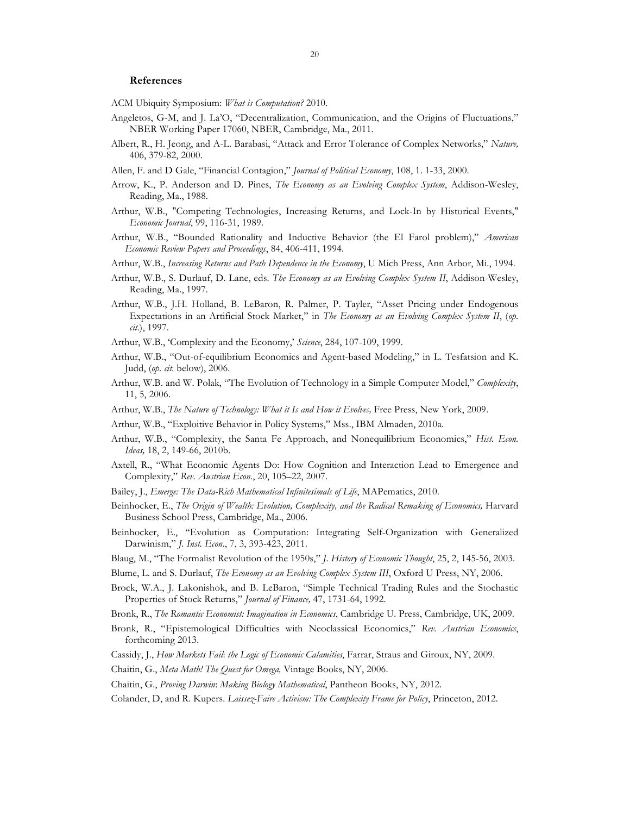#### **References**

ACM Ubiquity Symposium: *What is Computation?* 2010.

- Angeletos, G-M, and J. La'O, "Decentralization, Communication, and the Origins of Fluctuations," NBER Working Paper 17060, NBER, Cambridge, Ma., 2011.
- Albert, R., H. Jeong, and A-L. Barabasi, "Attack and Error Tolerance of Complex Networks," *Nature,*  406, 379-82, 2000.
- Allen, F. and D Gale, "Financial Contagion," *Journal of Political Economy*, 108, 1. 1-33, 2000.
- Arrow, K., P. Anderson and D. Pines, *The Economy as an Evolving Complex System*, Addison-Wesley, Reading, Ma., 1988.
- Arthur, W.B., "Competing Technologies, Increasing Returns, and Lock-In by Historical Events," *Economic Journal*, 99, 116-31, 1989.
- Arthur, W.B., "Bounded Rationality and Inductive Behavior (the El Farol problem)," *American Economic Review Papers and Proceedings*, 84, 406-411, 1994.
- Arthur, W.B., *Increasing Returns and Path Dependence in the Economy*, U Mich Press, Ann Arbor, Mi., 1994.
- Arthur, W.B., S. Durlauf, D. Lane, eds. *The Economy as an Evolving Complex System II*, Addison-Wesley, Reading, Ma., 1997.
- Arthur, W.B., J.H. Holland, B. LeBaron, R. Palmer, P. Tayler, "Asset Pricing under Endogenous Expectations in an Artificial Stock Market," in *The Economy as an Evolving Complex System II*, (*op. cit.*), 1997.
- Arthur, W.B., 'Complexity and the Economy,' *Science*, 284, 107-109, 1999.
- Arthur, W.B., "Out-of-equilibrium Economics and Agent-based Modeling," in L. Tesfatsion and K. Judd, (*op. cit.* below), 2006.
- Arthur, W.B. and W. Polak, "The Evolution of Technology in a Simple Computer Model," *Complexity*, 11, 5, 2006.
- Arthur, W.B., *The Nature of Technology: What it Is and How it Evolves,* Free Press, New York, 2009.
- Arthur, W.B., "Exploitive Behavior in Policy Systems," Mss., IBM Almaden, 2010a.
- Arthur, W.B., "Complexity, the Santa Fe Approach, and Nonequilibrium Economics," *Hist. Econ. Ideas,* 18, 2, 149-66, 2010b.
- Axtell, R., "What Economic Agents Do: How Cognition and Interaction Lead to Emergence and Complexity," *Rev. Austrian Econ.*, 20, 105–22, 2007.
- Bailey, J., *Emerge: The Data-Rich Mathematical Infinitesimals of Life*, MAPematics, 2010.
- Beinhocker, E., *The Origin of Wealth: Evolution, Complexity, and the Radical Remaking of Economics,* Harvard Business School Press, Cambridge, Ma., 2006.
- Beinhocker, E., "Evolution as Computation: Integrating Self-Organization with Generalized Darwinism," *J. Inst. Econ*., 7, 3, 393-423, 2011.
- Blaug, M., "The Formalist Revolution of the 1950s," *J. History of Economic Thought*, 25, 2, 145-56, 2003.
- Blume, L. and S. Durlauf, *The Economy as an Evolving Complex System III*, Oxford U Press, NY, 2006.
- Brock, W.A., J. Lakonishok, and B. LeBaron, "Simple Technical Trading Rules and the Stochastic Properties of Stock Returns," *Journal of Finance,* 47, 1731-64, 1992.
- Bronk, R., *The Romantic Economist: Imagination in Economics*, Cambridge U. Press, Cambridge, UK, 2009.
- Bronk, R., "Epistemological Difficulties with Neoclassical Economics," *Rev. Austrian Economics*, forthcoming 2013.
- Cassidy, J., *How Markets Fail*: *the Logic of Economic Calamities*, Farrar, Straus and Giroux, NY, 2009.
- Chaitin, G., *Meta Math! The Quest for Omega,* Vintage Books, NY, 2006.
- Chaitin, G., *Proving Darwin*: *Making Biology Mathematical*, Pantheon Books, NY, 2012.

Colander, D, and R. Kupers. *Laissez-Faire Activism: The Complexity Frame for Policy*, Princeton, 2012.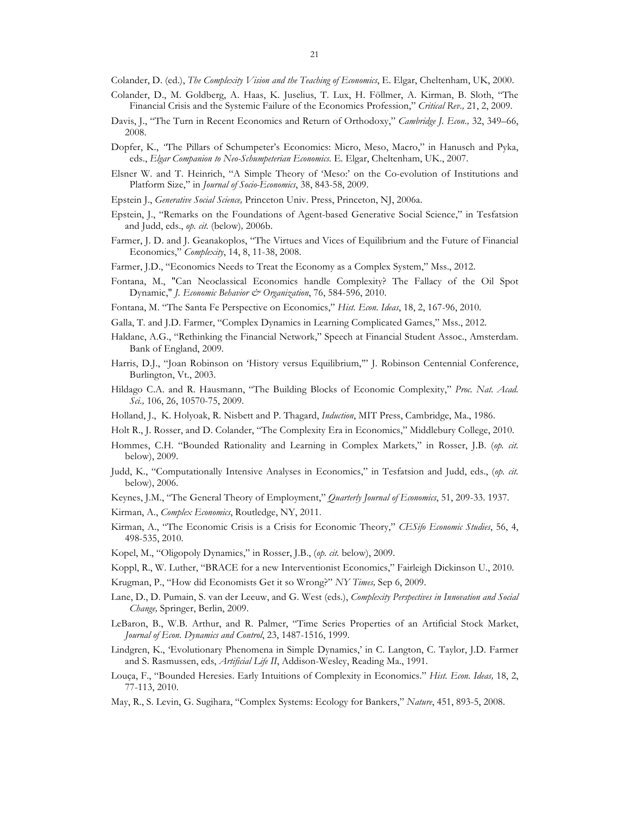Colander, D. (ed.), *The Complexity Vision and the Teaching of Economics*, E. Elgar, Cheltenham, UK, 2000.

- Colander, D., M. Goldberg, A. Haas, K. Juselius, T. Lux, H. Föllmer, A. Kirman, B. Sloth, "The Financial Crisis and the Systemic Failure of the Economics Profession," *Critical Rev.,* 21, 2, 2009.
- Davis, J., "The Turn in Recent Economics and Return of Orthodoxy," *Cambridge J. Econ.,* 32, 349–66, 2008.
- Dopfer, K., *"*The Pillars of Schumpeter's Economics: Micro, Meso, Macro," in Hanusch and Pyka, eds., *Elgar Companion to Neo-Schumpeterian Economics.* E. Elgar, Cheltenham, UK., 2007.
- Elsner W. and T. Heinrich, "A Simple Theory of 'Meso:' on the Co-evolution of Institutions and Platform Size," in *Journal of Socio-Economics*, 38, 843-58, 2009.
- Epstein J., *Generative Social Science,* Princeton Univ. Press, Princeton, NJ, 2006a.
- Epstein, J., "Remarks on the Foundations of Agent-based Generative Social Science," in Tesfatsion and Judd, eds., *op. cit.* (below)*,* 2006b.
- Farmer, J. D. and J. Geanakoplos, "The Virtues and Vices of Equilibrium and the Future of Financial Economics," *Complexity*, 14, 8, 11-38, 2008.
- Farmer, J.D., "Economics Needs to Treat the Economy as a Complex System," Mss., 2012.
- Fontana, M., "Can Neoclassical Economics handle Complexity? The Fallacy of the Oil Spot Dynamic," *J. Economic Behavior & Organization*, 76, 584-596, 2010.
- Fontana, M. "The Santa Fe Perspective on Economics," *Hist. Econ. Ideas*, 18, 2, 167-96, 2010.
- Galla, T. and J.D. Farmer, "Complex Dynamics in Learning Complicated Games," Mss., 2012.
- Haldane, A.G., "Rethinking the Financial Network," Speech at Financial Student Assoc., Amsterdam. Bank of England, 2009.
- Harris, D.J., "Joan Robinson on 'History versus Equilibrium,'" J. Robinson Centennial Conference, Burlington, Vt., 2003.
- Hildago C.A. and R. Hausmann, "The Building Blocks of Economic Complexity," *Proc. Nat. Acad. Sci.,* 106, 26, 10570-75, 2009.
- Holland, J., K. Holyoak, R. Nisbett and P. Thagard, *Induction*, MIT Press, Cambridge, Ma., 1986.
- Holt R., J. Rosser, and D. Colander, "The Complexity Era in Economics," Middlebury College, 2010.
- Hommes, C.H. "Bounded Rationality and Learning in Complex Markets," in Rosser, J.B. (*op. cit.* below), 2009.
- Judd, K., "Computationally Intensive Analyses in Economics," in Tesfatsion and Judd, eds., (*op. cit.*  below), 2006.
- Keynes, J.M., "The General Theory of Employment," *Quarterly Journal of Economics*, 51, 209-33. 1937.
- Kirman, A., *Complex Economics*, Routledge, NY, 2011.
- Kirman, A., "The Economic Crisis is a Crisis for Economic Theory," *CESifo Economic Studies*, 56, 4, 498-535, 2010.
- Kopel, M., "Oligopoly Dynamics," in Rosser, J.B., (*op. cit.* below), 2009.
- Koppl, R., W. Luther, "BRACE for a new Interventionist Economics," Fairleigh Dickinson U., 2010.
- Krugman, P., "How did Economists Get it so Wrong?" *NY Times,* Sep 6, 2009.
- Lane, D., D. Pumain, S. van der Leeuw, and G. West (eds.), *Complexity Perspectives in Innovation and Social Change,* Springer, Berlin, 2009.
- LeBaron, B., W.B. Arthur, and R. Palmer, "Time Series Properties of an Artificial Stock Market, *Journal of Econ. Dynamics and Control*, 23, 1487-1516, 1999.
- Lindgren, K., 'Evolutionary Phenomena in Simple Dynamics,' in C. Langton, C. Taylor, J.D. Farmer and S. Rasmussen, eds, *Artificial Life II*, Addison-Wesley, Reading Ma., 1991.
- Louça, F., "Bounded Heresies. Early Intuitions of Complexity in Economics." *Hist. Econ. Ideas,* 18, 2, 77-113, 2010.
- May, R., S. Levin, G. Sugihara, "Complex Systems: Ecology for Bankers," *Nature*, 451, 893-5, 2008.